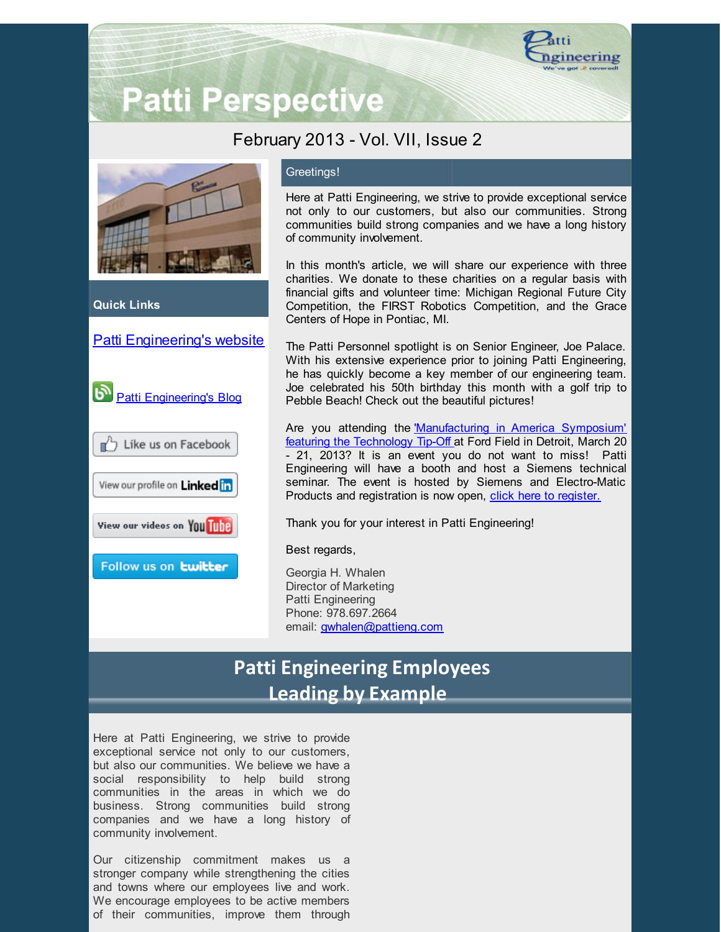

# **Patti Perspective**

### February 2013 - Vol. VII, Issue 2



**Quick Links**

### Patti [Engineering's](http://www.pattieng.com/?utm_source=Patti+Perspective+2_2013&utm_campaign=Patti+Perspective+2_13&utm_medium=email) website



### Greetings!

Here at Patti Engineering, we strive to provide exceptional service not only to our customers, but also our communities. Strong communities build strong companies and we have a long history of community involvement.

In this month's article, we will share our experience with three charities. We donate to these charities on a regular basis with financial gifts and volunteer time: Michigan Regional Future City Competition, the FIRST Robotics Competition, and the Grace Centers of Hope in Pontiac, MI.

The Patti Personnel spotlight is on Senior Engineer, Joe Palace. With his extensive experience prior to joining Patti Engineering, he has quickly become a key member of our engineering team. Joe celebrated his 50th birthday this month with a golf trip to Pebble Beach! Check out the beautiful pictures!

Are you attending the Manufacturing in America Symposium' featuring the Technology Tip-Off at Ford Field in Detroit, March 20 - 21, 2013? It is an event you do not want to miss! Patti Engineering will have a booth and host a Siemens technical seminar. The event is hosted by Siemens and Electro-Matic Products and registration is now open, click here to [register.](https://www.seeuthere.com/rsvp/invitation/registration.asp?id=m1312dbb-4USI7B0FRKJWX&sutEventRoleID=m1312dbb-3US6JVCQXOLWD&utm_source=Patti+Perspective+2_2013&utm_campaign=Patti+Perspective+2_13&utm_medium=email)

Thank you for your interest in Patti Engineering!

Best regards,

Georgia H. Whalen Director of Marketing Patti Engineering Phone: 978.697.2664 email: [gwhalen@pattieng.com](mailto:gwhalen@pattieng.com)

## **Patti Engineering Employees Leading by Example**

Here at Patti Engineering, we strive to provide exceptional service not only to our customers, but also our communities. We believe we have a social responsibility to help build strong communities in the areas in which we do business. Strong communities build strong companies and we have a long history of community involvement.

Our citizenship commitment makes us a stronger company while strengthening the cities and towns where our employees live and work. We encourage employees to be active members of their communities, improve them through